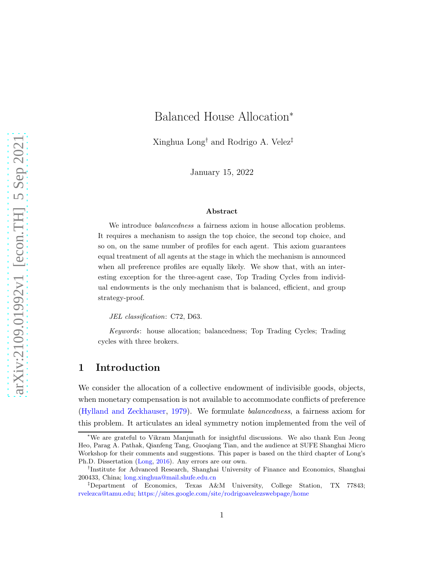# Balanced House Allocation<sup>∗</sup>

Xinghua Long† and Rodrigo A. Velez‡

January 15, 2022

#### Abstract

We introduce *balancedness* a fairness axiom in house allocation problems. It requires a mechanism to assign the top choice, the second top choice, and so on, on the same number of profiles for each agent. This axiom guarantees equal treatment of all agents at the stage in which the mechanism is announced when all preference profiles are equally likely. We show that, with an interesting exception for the three-agent case, Top Trading Cycles from individual endowments is the only mechanism that is balanced, efficient, and group strategy-proof.

JEL classification: C72, D63.

Keywords: house allocation; balancedness; Top Trading Cycles; Trading cycles with three brokers.

# 1 Introduction

We consider the allocation of a collective endowment of indivisible goods, objects, when monetary compensation is not available to accommodate conflicts of preference [\(Hylland and Zeckhauser,](#page-19-0) [1979\)](#page-19-0). We formulate balancedness, a fairness axiom for this problem. It articulates an ideal symmetry notion implemented from the veil of

<sup>∗</sup>We are grateful to Vikram Manjunath for insightful discussions. We also thank Eun Jeong Heo, Parag A. Pathak, Qianfeng Tang, Guoqiang Tian, and the audience at SUFE Shanghai Micro Workshop for their comments and suggestions. This paper is based on the third chapter of Long's Ph.D. Dissertation [\(Long](#page-19-1), [2016\)](#page-19-1). Any errors are our own.

<sup>†</sup> Institute for Advanced Research, Shanghai University of Finance and Economics, Shanghai 200433, China; [long.xinghua@mail.shufe.edu.cn](mailto:long.xinghua@mail.shufe.edu.cn)

<sup>‡</sup>Department of Economics, Texas A&M University, College Station, TX 77843; [rvelezca@tamu.edu;](mailto:rvelezca@tamu.edu) <https://sites.google.com/site/rodrigoavelezswebpage/home>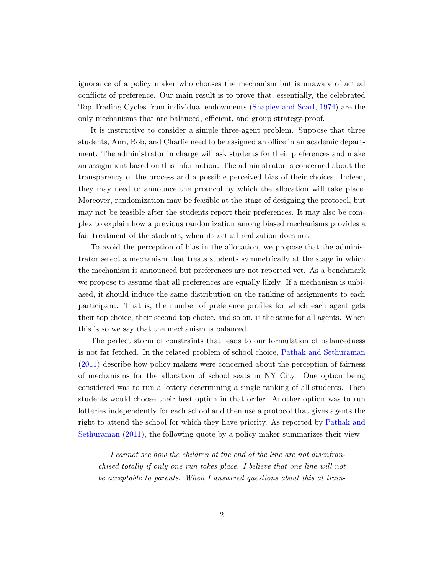ignorance of a policy maker who chooses the mechanism but is unaware of actual conflicts of preference. Our main result is to prove that, essentially, the celebrated Top Trading Cycles from individual endowments [\(Shapley and Scarf](#page-19-2), [1974\)](#page-19-2) are the only mechanisms that are balanced, efficient, and group strategy-proof.

It is instructive to consider a simple three-agent problem. Suppose that three students, Ann, Bob, and Charlie need to be assigned an office in an academic department. The administrator in charge will ask students for their preferences and make an assignment based on this information. The administrator is concerned about the transparency of the process and a possible perceived bias of their choices. Indeed, they may need to announce the protocol by which the allocation will take place. Moreover, randomization may be feasible at the stage of designing the protocol, but may not be feasible after the students report their preferences. It may also be complex to explain how a previous randomization among biased mechanisms provides a fair treatment of the students, when its actual realization does not.

To avoid the perception of bias in the allocation, we propose that the administrator select a mechanism that treats students symmetrically at the stage in which the mechanism is announced but preferences are not reported yet. As a benchmark we propose to assume that all preferences are equally likely. If a mechanism is unbiased, it should induce the same distribution on the ranking of assignments to each participant. That is, the number of preference profiles for which each agent gets their top choice, their second top choice, and so on, is the same for all agents. When this is so we say that the mechanism is balanced.

The perfect storm of constraints that leads to our formulation of balancedness is not far fetched. In the related problem of school choice, [Pathak and Sethuraman](#page-19-3) [\(2011\)](#page-19-3) describe how policy makers were concerned about the perception of fairness of mechanisms for the allocation of school seats in NY City. One option being considered was to run a lottery determining a single ranking of all students. Then students would choose their best option in that order. Another option was to run lotteries independently for each school and then use a protocol that gives agents the right to att[end the school for which they have priority. As reported by](#page-19-3) Pathak and Sethuraman [\(2011\)](#page-19-3), the following quote by a policy maker summarizes their view:

I cannot see how the children at the end of the line are not disenfranchised totally if only one run takes place. I believe that one line will not be acceptable to parents. When I answered questions about this at train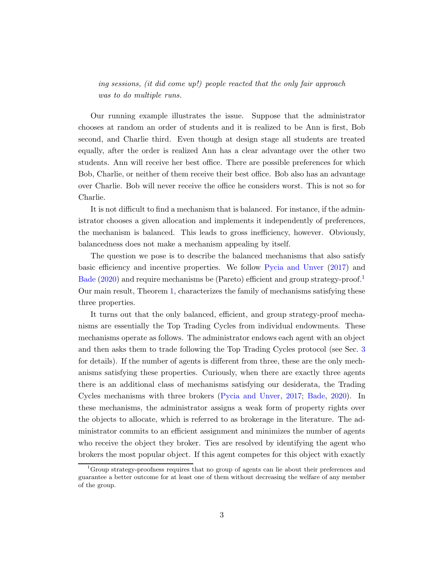ing sessions, (it did come up!) people reacted that the only fair approach was to do multiple runs.

Our running example illustrates the issue. Suppose that the administrator chooses at random an order of students and it is realized to be Ann is first, Bob second, and Charlie third. Even though at design stage all students are treated equally, after the order is realized Ann has a clear advantage over the other two students. Ann will receive her best office. There are possible preferences for which Bob, Charlie, or neither of them receive their best office. Bob also has an advantage over Charlie. Bob will never receive the office he considers worst. This is not so for Charlie.

It is not difficult to find a mechanism that is balanced. For instance, if the administrator chooses a given allocation and implements it independently of preferences, the mechanism is balanced. This leads to gross inefficiency, however. Obviously, balancedness does not make a mechanism appealing by itself.

The question we pose is to describe the balanced mechanisms that also satisfy basic efficiency and incentive properties. We follow [Pycia and Unver](#page-19-4) [\(2017](#page-19-4)) and [Bade](#page-18-0) [\(2020\)](#page-18-0) and require mechanisms be (Pareto) efficient and group strategy-proof.<sup>[1](#page-2-0)</sup> Our main result, Theorem [1,](#page-7-0) characterizes the family of mechanisms satisfying these three properties.

It turns out that the only balanced, efficient, and group strategy-proof mechanisms are essentially the Top Trading Cycles from individual endowments. These mechanisms operate as follows. The administrator endows each agent with an object and then asks them to trade following the Top Trading Cycles protocol (see Sec. [3](#page-6-0) for details). If the number of agents is different from three, these are the only mechanisms satisfying these properties. Curiously, when there are exactly three agents there is an additional class of mechanisms satisfying our desiderata, the Trading Cycles mechanisms with three brokers [\(Pycia and Unver,](#page-19-4) [2017](#page-19-4); [Bade](#page-18-0), [2020\)](#page-18-0). In these mechanisms, the administrator assigns a weak form of property rights over the objects to allocate, which is referred to as brokerage in the literature. The administrator commits to an efficient assignment and minimizes the number of agents who receive the object they broker. Ties are resolved by identifying the agent who brokers the most popular object. If this agent competes for this object with exactly

<span id="page-2-0"></span><sup>&</sup>lt;sup>1</sup>Group strategy-proofness requires that no group of agents can lie about their preferences and guarantee a better outcome for at least one of them without decreasing the welfare of any member of the group.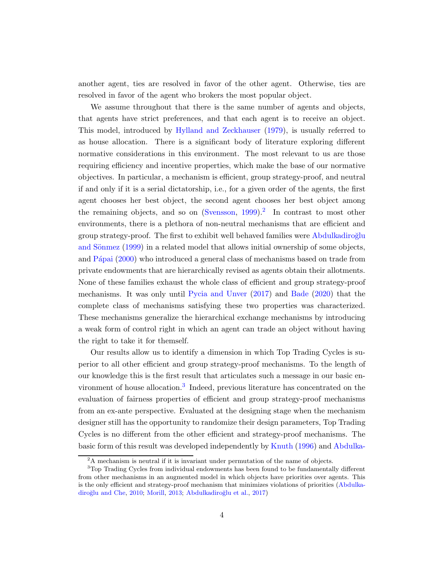another agent, ties are resolved in favor of the other agent. Otherwise, ties are resolved in favor of the agent who brokers the most popular object.

We assume throughout that there is the same number of agents and objects, that agents have strict preferences, and that each agent is to receive an object. This model, introduced by [Hylland and Zeckhauser](#page-19-0) [\(1979](#page-19-0)), is usually referred to as house allocation. There is a significant body of literature exploring different normative considerations in this environment. The most relevant to us are those requiring efficiency and incentive properties, which make the base of our normative objectives. In particular, a mechanism is efficient, group strategy-proof, and neutral if and only if it is a serial dictatorship, i.e., for a given order of the agents, the first agent chooses her best object, the second agent chooses her best object among the remaining objects, and so on [\(Svensson,](#page-19-5) [1999\)](#page-19-5).<sup>[2](#page-3-0)</sup> In contrast to most other environments, there is a plethora of non-neutral mechanisms that are efficient and group strat[egy-proof. The first to exhibit well behaved families were](#page-18-1) Abdulkadiroğlu and Sönmez [\(1999](#page-18-1)) in a related model that allows initial ownership of some objects, and Pápai [\(2000\)](#page-19-6) who introduced a general class of mechanisms based on trade from private endowments that are hierarchically revised as agents obtain their allotments. None of these families exhaust the whole class of efficient and group strategy-proof mechanisms. It was only until [Pycia and Unver](#page-19-4) [\(2017\)](#page-19-4) and [Bade](#page-18-0) [\(2020\)](#page-18-0) that the complete class of mechanisms satisfying these two properties was characterized. These mechanisms generalize the hierarchical exchange mechanisms by introducing a weak form of control right in which an agent can trade an object without having the right to take it for themself.

Our results allow us to identify a dimension in which Top Trading Cycles is superior to all other efficient and group strategy-proof mechanisms. To the length of our knowledge this is the first result that articulates such a message in our basic en-vironment of house allocation.<sup>[3](#page-3-1)</sup> Indeed, previous literature has concentrated on the evaluation of fairness properties of efficient and group strategy-proof mechanisms from an ex-ante perspective. Evaluated at the designing stage when the mechanism designer still has the opportunity to randomize their design parameters, Top Trading Cycles is no different from the other efficient and strategy-proof mechanisms. The basic form of this result was developed independently by [Knuth](#page-19-7) [\(1996\)](#page-19-7) and Abdulka-

<span id="page-3-0"></span><sup>2</sup>A mechanism is neutral if it is invariant under permutation of the name of objects.

<span id="page-3-1"></span><sup>3</sup>Top Trading Cycles from individual endowments has been found to be fundamentally different from other mechanisms in an augmented model in which objects have priorities over agents. This is the only effici[ent and strategy-proof mechanism that minimizes violations of priorities \(](#page-18-2)Abdulka-diroğlu and Che, [2010;](#page-18-2) [Morill,](#page-19-8) [2013;](#page-19-8) Abdulkadiroğlu et al., [2017](#page-18-3))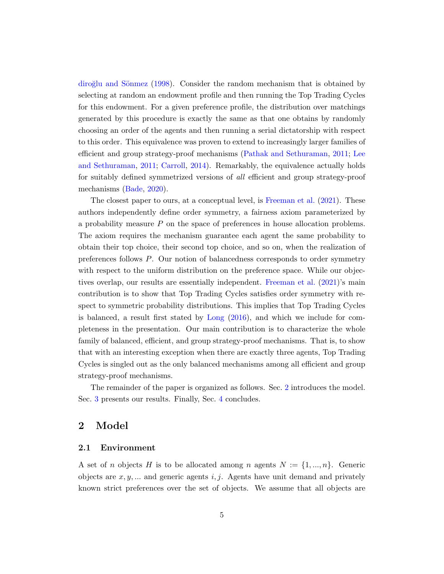diroğlu and Sönmez [\(1998\)](#page-18-4). Consider the random mechanism that is obtained by selecting at random an endowment profile and then running the Top Trading Cycles for this endowment. For a given preference profile, the distribution over matchings generated by this procedure is exactly the same as that one obtains by randomly choosing an order of the agents and then running a serial dictatorship with respect to this order. This equivalence was proven to extend to increasingly larger families of efficient and gro[up strategy-proof mechanisms](#page-19-9) [\(Pathak and Sethuraman](#page-19-3)[,](#page-19-9) [2011;](#page-19-3) Lee and Sethuraman, [2011](#page-19-9); [Carroll,](#page-18-5) [2014](#page-18-5)). Remarkably, the equivalence actually holds for suitably defined symmetrized versions of all efficient and group strategy-proof mechanisms [\(Bade,](#page-18-0) [2020](#page-18-0)).

The closest paper to ours, at a conceptual level, is [Freeman et al.](#page-18-6) [\(2021\)](#page-18-6). These authors independently define order symmetry, a fairness axiom parameterized by a probability measure  $P$  on the space of preferences in house allocation problems. The axiom requires the mechanism guarantee each agent the same probability to obtain their top choice, their second top choice, and so on, when the realization of preferences follows P. Our notion of balancedness corresponds to order symmetry with respect to the uniform distribution on the preference space. While our objectives overlap, our results are essentially independent. [Freeman et al.](#page-18-6) [\(2021\)](#page-18-6)'s main contribution is to show that Top Trading Cycles satisfies order symmetry with respect to symmetric probability distributions. This implies that Top Trading Cycles is balanced, a result first stated by [Long](#page-19-1) [\(2016\)](#page-19-1), and which we include for completeness in the presentation. Our main contribution is to characterize the whole family of balanced, efficient, and group strategy-proof mechanisms. That is, to show that with an interesting exception when there are exactly three agents, Top Trading Cycles is singled out as the only balanced mechanisms among all efficient and group strategy-proof mechanisms.

The remainder of the paper is organized as follows. Sec. [2](#page-4-0) introduces the model. Sec. [3](#page-6-0) presents our results. Finally, Sec. [4](#page-17-0) concludes.

# <span id="page-4-0"></span>2 Model

#### 2.1 Environment

A set of *n* objects H is to be allocated among *n* agents  $N := \{1, ..., n\}$ . Generic objects are  $x, y, \ldots$  and generic agents i, j. Agents have unit demand and privately known strict preferences over the set of objects. We assume that all objects are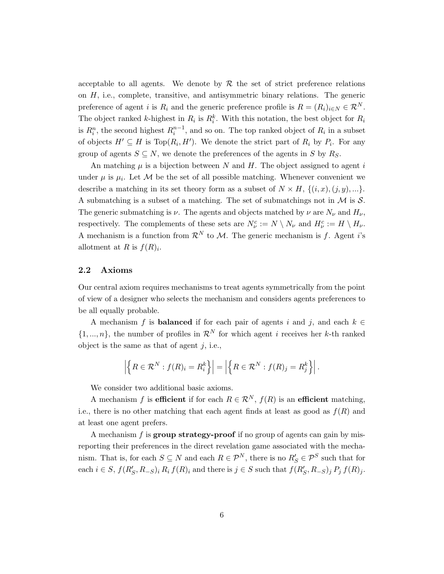acceptable to all agents. We denote by  $R$  the set of strict preference relations on  $H$ , i.e., complete, transitive, and antisymmetric binary relations. The generic preference of agent *i* is  $R_i$  and the generic preference profile is  $R = (R_i)_{i \in N} \in \mathcal{R}^N$ . The object ranked k-highest in  $R_i$  is  $R_i^k$ . With this notation, the best object for  $R_i$ is  $R_i^n$ , the second highest  $R_i^{n-1}$ , and so on. The top ranked object of  $R_i$  in a subset of objects  $H' \subseteq H$  is  $Top(R_i, H')$ . We denote the strict part of  $R_i$  by  $P_i$ . For any group of agents  $S \subseteq N$ , we denote the preferences of the agents in S by  $R_S$ .

An matching  $\mu$  is a bijection between N and H. The object assigned to agent i under  $\mu$  is  $\mu_i$ . Let M be the set of all possible matching. Whenever convenient we describe a matching in its set theory form as a subset of  $N \times H$ ,  $\{(i, x), (j, y), ...\}$ . A submatching is a subset of a matching. The set of submatchings not in  $\mathcal M$  is  $\mathcal S$ . The generic submatching is  $\nu$ . The agents and objects matched by  $\nu$  are  $N_{\nu}$  and  $H_{\nu}$ , respectively. The complements of these sets are  $N_{\nu}^c := N \setminus N_{\nu}$  and  $H_{\nu}^c := H \setminus H_{\nu}$ . A mechanism is a function from  $\mathcal{R}^N$  to M. The generic mechanism is f. Agent i's allotment at R is  $f(R)<sub>i</sub>$ .

#### 2.2 Axioms

Our central axiom requires mechanisms to treat agents symmetrically from the point of view of a designer who selects the mechanism and considers agents preferences to be all equally probable.

A mechanism f is **balanced** if for each pair of agents i and j, and each  $k \in$  $\{1, ..., n\}$ , the number of profiles in  $\mathcal{R}^N$  for which agent i receives her k-th ranked object is the same as that of agent  $j$ , i.e.,

$$
\left| \left\{ R \in \mathcal{R}^N : f(R)_i = R_i^k \right\} \right| = \left| \left\{ R \in \mathcal{R}^N : f(R)_j = R_j^k \right\} \right|.
$$

We consider two additional basic axioms.

A mechanism f is efficient if for each  $R \in \mathcal{R}^N$ ,  $f(R)$  is an efficient matching, i.e., there is no other matching that each agent finds at least as good as  $f(R)$  and at least one agent prefers.

A mechanism  $f$  is **group strategy-proof** if no group of agents can gain by misreporting their preferences in the direct revelation game associated with the mechanism. That is, for each  $S \subseteq N$  and each  $R \in \mathcal{P}^N$ , there is no  $R'_{S} \in \mathcal{P}^S$  such that for each  $i \in S$ ,  $f(R'_{S}, R_{-S})$ ,  $R_i f(R)_i$  and there is  $j \in S$  such that  $f(R'_{S}, R_{-S})$ ,  $P_j f(R)_j$ .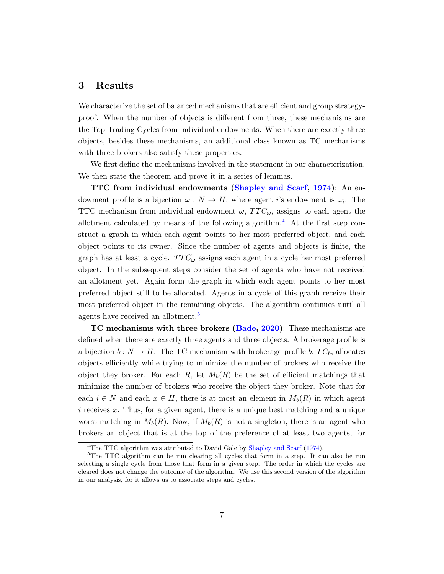# <span id="page-6-0"></span>3 Results

We characterize the set of balanced mechanisms that are efficient and group strategyproof. When the number of objects is different from three, these mechanisms are the Top Trading Cycles from individual endowments. When there are exactly three objects, besides these mechanisms, an additional class known as TC mechanisms with three brokers also satisfy these properties.

We first define the mechanisms involved in the statement in our characterization. We then state the theorem and prove it in a series of lemmas.

TTC from individual endowments [\(Shapley and Scarf,](#page-19-2) [1974\)](#page-19-2): An endowment profile is a bijection  $\omega : N \to H$ , where agent i's endowment is  $\omega_i$ . The TTC mechanism from individual endowment  $\omega$ ,  $TTC_{\omega}$ , assigns to each agent the allotment calculated by means of the following algorithm.<sup>[4](#page-6-1)</sup> At the first step construct a graph in which each agent points to her most preferred object, and each object points to its owner. Since the number of agents and objects is finite, the graph has at least a cycle.  $TTC_{\omega}$  assigns each agent in a cycle her most preferred object. In the subsequent steps consider the set of agents who have not received an allotment yet. Again form the graph in which each agent points to her most preferred object still to be allocated. Agents in a cycle of this graph receive their most preferred object in the remaining objects. The algorithm continues until all agents have received an allotment.[5](#page-6-2)

TC mechanisms with three brokers [\(Bade](#page-18-0), [2020](#page-18-0)): These mechanisms are defined when there are exactly three agents and three objects. A brokerage profile is a bijection  $b: N \to H$ . The TC mechanism with brokerage profile b,  $TC_b$ , allocates objects efficiently while trying to minimize the number of brokers who receive the object they broker. For each R, let  $M_b(R)$  be the set of efficient matchings that minimize the number of brokers who receive the object they broker. Note that for each  $i \in N$  and each  $x \in H$ , there is at most an element in  $M_b(R)$  in which agent i receives x. Thus, for a given agent, there is a unique best matching and a unique worst matching in  $M_b(R)$ . Now, if  $M_b(R)$  is not a singleton, there is an agent who brokers an object that is at the top of the preference of at least two agents, for

<span id="page-6-1"></span><sup>&</sup>lt;sup>4</sup>The TTC algorithm was attributed to David Gale by [Shapley and Scarf](#page-19-2) [\(1974\)](#page-19-2).

<span id="page-6-2"></span> ${}^{5}$ The TTC algorithm can be run clearing all cycles that form in a step. It can also be run selecting a single cycle from those that form in a given step. The order in which the cycles are cleared does not change the outcome of the algorithm. We use this second version of the algorithm in our analysis, for it allows us to associate steps and cycles.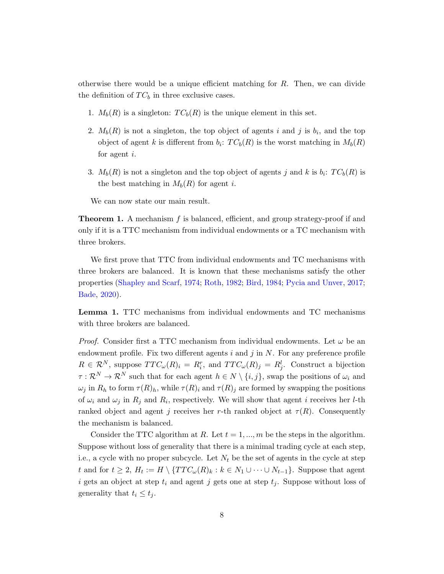otherwise there would be a unique efficient matching for  $R$ . Then, we can divide the definition of  $TC_b$  in three exclusive cases.

- 1.  $M_b(R)$  is a singleton:  $TC_b(R)$  is the unique element in this set.
- 2.  $M_b(R)$  is not a singleton, the top object of agents i and j is  $b_i$ , and the top object of agent k is different from  $b_i$ :  $TC_b(R)$  is the worst matching in  $M_b(R)$ for agent i.
- 3.  $M_b(R)$  is not a singleton and the top object of agents j and k is  $b_i$ :  $TC_b(R)$  is the best matching in  $M_b(R)$  for agent i.

We can now state our main result.

<span id="page-7-0"></span>**Theorem 1.** A mechanism  $f$  is balanced, efficient, and group strategy-proof if and only if it is a TTC mechanism from individual endowments or a TC mechanism with three brokers.

We first prove that TTC from individual endowments and TC mechanisms with three brokers are balanced. It is known that these mechanisms satisfy the other properties [\(Shapley and Scarf,](#page-19-2) [1974;](#page-19-2) [Roth,](#page-19-10) [1982](#page-19-10); [Bird,](#page-18-7) [1984](#page-18-7); [Pycia and Unver](#page-19-4), [2017;](#page-19-4) [Bade](#page-18-0), [2020](#page-18-0)).

<span id="page-7-1"></span>Lemma 1. TTC mechanisms from individual endowments and TC mechanisms with three brokers are balanced.

*Proof.* Consider first a TTC mechanism from individual endowments. Let  $\omega$  be an endowment profile. Fix two different agents  $i$  and  $j$  in  $N$ . For any preference profile  $R \in \mathcal{R}^N$ , suppose  $TTC_{\omega}(R)_i = R_i^r$ , and  $TTC_{\omega}(R)_j = R_j^l$ . Construct a bijection  $\tau : \mathcal{R}^N \to \mathcal{R}^N$  such that for each agent  $h \in N \setminus \{i, j\}$ , swap the positions of  $\omega_i$  and  $\omega_j$  in  $R_h$  to form  $\tau(R)_h$ , while  $\tau(R)_i$  and  $\tau(R)_j$  are formed by swapping the positions of  $\omega_i$  and  $\omega_j$  in  $R_j$  and  $R_i$ , respectively. We will show that agent i receives her *l*-th ranked object and agent j receives her r-th ranked object at  $\tau(R)$ . Consequently the mechanism is balanced.

Consider the TTC algorithm at R. Let  $t = 1, ..., m$  be the steps in the algorithm. Suppose without loss of generality that there is a minimal trading cycle at each step, i.e., a cycle with no proper subcycle. Let  $N_t$  be the set of agents in the cycle at step t and for  $t \geq 2$ ,  $H_t := H \setminus \{TTC_{\omega}(R)_k : k \in N_1 \cup \cdots \cup N_{t-1}\}.$  Suppose that agent i gets an object at step  $t_i$  and agent j gets one at step  $t_j$ . Suppose without loss of generality that  $t_i \leq t_j$ .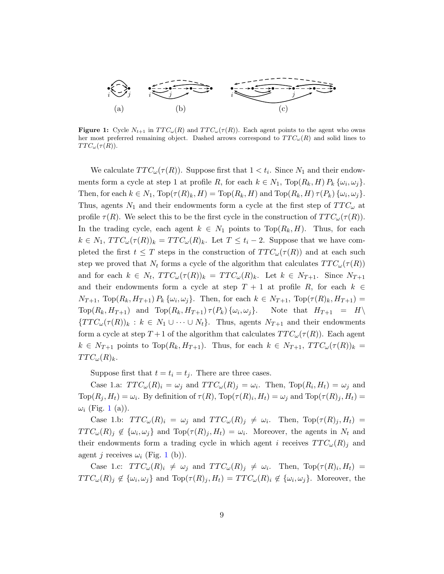<span id="page-8-0"></span>

**Figure 1:** Cycle  $N_{t+1}$  in  $TTC_{\omega}(R)$  and  $TTC_{\omega}(\tau(R))$ . Each agent points to the agent who owns her most preferred remaining object. Dashed arrows correspond to  $TTC_{\omega}(R)$  and solid lines to  $TTC_{\omega}(\tau(R)).$ 

We calculate  $TTC_{\omega}(\tau(R))$ . Suppose first that  $1 < t_i$ . Since  $N_1$  and their endowments form a cycle at step 1 at profile R, for each  $k \in N_1$ , Top $(R_k, H) P_k \{\omega_i, \omega_j\}$ . Then, for each  $k \in N_1$ ,  $\text{Top}(\tau(R)_k, H) = \text{Top}(R_k, H)$  and  $\text{Top}(R_k, H) \tau(P_k) \{\omega_i, \omega_j\}.$ Thus, agents  $N_1$  and their endowments form a cycle at the first step of  $TTC_{\omega}$  at profile  $\tau(R)$ . We select this to be the first cycle in the construction of  $TTC_{\omega}(\tau(R))$ . In the trading cycle, each agent  $k \in N_1$  points to  $Top(R_k, H)$ . Thus, for each  $k \in N_1$ ,  $TTC_{\omega}(\tau(R))_k = TTC_{\omega}(R)_k$ . Let  $T \leq t_i - 2$ . Suppose that we have completed the first  $t \leq T$  steps in the construction of  $TTC_{\omega}(\tau(R))$  and at each such step we proved that  $N_t$  forms a cycle of the algorithm that calculates  $TTC_{\omega}(\tau(R))$ and for each  $k \in N_t$ ,  $TTC_{\omega}(\tau(R))_k = TTC_{\omega}(R)_k$ . Let  $k \in N_{T+1}$ . Since  $N_{T+1}$ and their endowments form a cycle at step  $T + 1$  at profile R, for each  $k \in$  $N_{T+1}$ , Top $(R_k, H_{T+1}) P_k \{\omega_i, \omega_j\}$ . Then, for each  $k \in N_{T+1}$ , Top $(\tau(R)_k, H_{T+1}) =$  $\text{Top}(R_k, H_{T+1})$  and  $\text{Top}(R_k, H_{T+1}) \tau(P_k) \{\omega_i, \omega_j\}.$  Note that  $H_{T+1} = H\setminus$  ${TTC_{\omega}(\tau(R))_k : k \in N_1 \cup \cdots \cup N_t}.$  Thus, agents  $N_{T+1}$  and their endowments form a cycle at step  $T+1$  of the algorithm that calculates  $TTC_{\omega}(\tau(R))$ . Each agent  $k \in N_{T+1}$  points to  $Top(R_k, H_{T+1})$ . Thus, for each  $k \in N_{T+1}$ ,  $TTC_{\omega}(\tau(R))_k =$  $TTC_{\omega}(R)_k.$ 

Suppose first that  $t = t_i = t_j$ . There are three cases.

Case 1.a:  $TTC_{\omega}(R)_i = \omega_j$  and  $TTC_{\omega}(R)_j = \omega_i$ . Then,  $Top(R_i, H_i) = \omega_j$  and  $\text{Top}(R_j, H_t) = \omega_i$ . By definition of  $\tau(R)$ ,  $\text{Top}(\tau(R)_i, H_t) = \omega_j$  and  $\text{Top}(\tau(R)_j, H_t) =$  $\omega_i$  (Fig. [1](#page-8-0) (a)).

Case 1.b:  $TTC_{\omega}(R)_i = \omega_j$  and  $TTC_{\omega}(R)_j \neq \omega_i$ . Then,  $Top(\tau(R)_j, H_t) =$  $TTC_{\omega}(R)_j \notin {\{\omega_i,\omega_j\}}$  and  $Top(\tau(R)_j, H_t) = \omega_i$ . Moreover, the agents in  $N_t$  and their endowments form a trading cycle in which agent i receives  $TTC_{\omega}(R)_i$  and agent *j* receives  $\omega_i$  (Fig. [1](#page-8-0) (b)).

Case 1.c:  $TTC_{\omega}(R)_i \neq \omega_j$  and  $TTC_{\omega}(R)_j \neq \omega_i$ . Then,  $Top(\tau(R)_i, H_t)$  =  $TTC_{\omega}(R)_{j} \notin {\{\omega_i,\omega_j\}}$  and  $Top(\tau(R)_{j},H_t) = TTC_{\omega}(R)_{i} \notin {\{\omega_i,\omega_j\}}$ . Moreover, the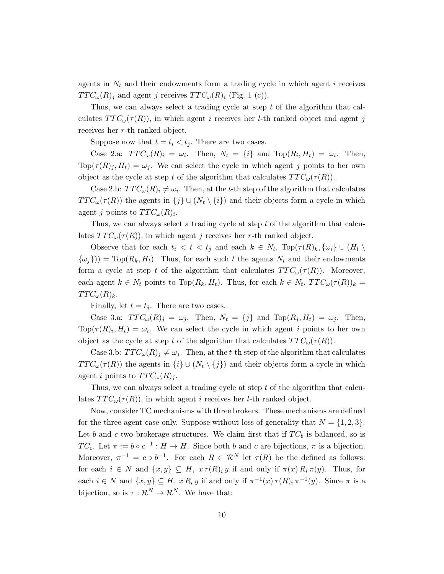agents in  $N_t$  and their endowments form a trading cycle in which agent i receives  $TTC_{\omega}(R)_i$  and agent j receives  $TTC_{\omega}(R)_i$  (Fig. [1](#page-8-0) (c)).

Thus, we can always select a trading cycle at step t of the algorithm that calculates  $TTC_{\omega}(\tau(R))$ , in which agent *i* receives her *l*-th ranked object and agent *j* receives her r-th ranked object.

Suppose now that  $t = t_i < t_j$ . There are two cases.

Case 2.a:  $TTC_{\omega}(R)_i = \omega_i$ . Then,  $N_t = \{i\}$  and  $Top(R_i, H_t) = \omega_i$ . Then,  $Top(\tau(R)_j, H_t) = \omega_j$ . We can select the cycle in which agent j points to her own object as the cycle at step t of the algorithm that calculates  $TTC_{\omega}(\tau(R))$ .

Case 2.b:  $TTC_{\omega}(R)_i \neq \omega_i$ . Then, at the t-th step of the algorithm that calculates  $TTC_{\omega}(\tau(R))$  the agents in  $\{j\} \cup (N_t \setminus \{i\})$  and their objects form a cycle in which agent j points to  $TTC_{\omega}(R)_{i}$ .

Thus, we can always select a trading cycle at step t of the algorithm that calculates  $TTC_{\omega}(\tau(R))$ , in which agent j receives her r-th ranked object.

Observe that for each  $t_i < t < t_j$  and each  $k \in N_t$ ,  $\text{Top}(\tau(R)_k, \{\omega_i\} \cup (H_t \setminus$  $\{\omega_i\}) = \text{Top}(R_k, H_t)$ . Thus, for each such t the agents  $N_t$  and their endowments form a cycle at step t of the algorithm that calculates  $TTC_{\omega}(\tau(R))$ . Moreover, each agent  $k \in N_t$  points to  $Top(R_k, H_t)$ . Thus, for each  $k \in N_t$ ,  $TTC_{\omega}(\tau(R))_k =$  $TTC_{\omega}(R)_k.$ 

Finally, let  $t = t<sub>j</sub>$ . There are two cases.

Case 3.a:  $TTC_{\omega}(R)_{j} = \omega_{j}$ . Then,  $N_{t} = \{j\}$  and  $Top(R_{j}, H_{t}) = \omega_{j}$ . Then,  $Top(\tau(R)_i, H_t) = \omega_i$ . We can select the cycle in which agent i points to her own object as the cycle at step t of the algorithm that calculates  $TTC_{\omega}(\tau(R))$ .

Case 3.b:  $TTC_{\omega}(R)$   $\neq \omega_j$ . Then, at the t-th step of the algorithm that calculates  $TTC_{\omega}(\tau(R))$  the agents in  $\{i\} \cup (N_t \setminus \{j\})$  and their objects form a cycle in which agent i points to  $TTC_{\omega}(R)_{i}$ .

Thus, we can always select a trading cycle at step t of the algorithm that calculates  $TTC_{\omega}(\tau(R))$ , in which agent *i* receives her *l*-th ranked object.

Now, consider TC mechanisms with three brokers. These mechanisms are defined for the three-agent case only. Suppose without loss of generality that  $N = \{1, 2, 3\}$ . Let b and c two brokerage structures. We claim first that if  $TC_b$  is balanced, so is TC<sub>c</sub>. Let  $\pi := b \circ c^{-1} : H \to H$ . Since both b and c are bijections,  $\pi$  is a bijection. Moreover,  $\pi^{-1} = c \circ b^{-1}$ . For each  $R \in \mathcal{R}^N$  let  $\tau(R)$  be the defined as follows: for each  $i \in N$  and  $\{x, y\} \subseteq H$ ,  $x \tau(R)_i y$  if and only if  $\pi(x) R_i \pi(y)$ . Thus, for each  $i \in N$  and  $\{x, y\} \subseteq H$ ,  $x R_i y$  if and only if  $\pi^{-1}(x) \tau(R)_i \pi^{-1}(y)$ . Since  $\pi$  is a bijection, so is  $\tau : \mathcal{R}^N \to \mathcal{R}^N$ . We have that: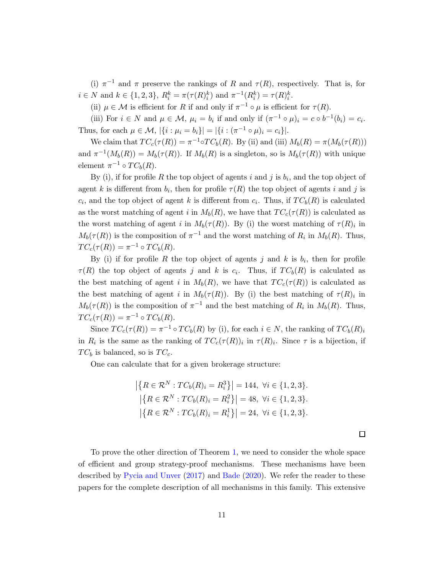(i)  $\pi^{-1}$  and  $\pi$  preserve the rankings of R and  $\tau(R)$ , respectively. That is, for  $i \in N$  and  $k \in \{1, 2, 3\}, R_i^k = \pi(\tau(R_i^k))$  and  $\pi^{-1}(R_i^k) = \tau(R_i^k)$ .

(ii)  $\mu \in \mathcal{M}$  is efficient for R if and only if  $\pi^{-1} \circ \mu$  is efficient for  $\tau(R)$ .

(iii) For  $i \in N$  and  $\mu \in \mathcal{M}$ ,  $\mu_i = b_i$  if and only if  $(\pi^{-1} \circ \mu)_i = c \circ b^{-1}(b_i) = c_i$ . Thus, for each  $\mu \in \mathcal{M}, |\{i : \mu_i = b_i\}| = |\{i : (\pi^{-1} \circ \mu)_i = c_i\}|.$ 

We claim that  $TC_c(\tau(R)) = \pi^{-1} \circ TC_b(R)$ . By (ii) and (iii)  $M_b(R) = \pi(M_b(\tau(R)))$ and  $\pi^{-1}(M_b(R)) = M_b(\tau(R))$ . If  $M_b(R)$  is a singleton, so is  $M_b(\tau(R))$  with unique element  $\pi^{-1} \circ TC_b(R)$ .

By (i), if for profile R the top object of agents i and j is  $b_i$ , and the top object of agent k is different from  $b_i$ , then for profile  $\tau(R)$  the top object of agents i and j is  $c_i$ , and the top object of agent k is different from  $c_i$ . Thus, if  $TC_b(R)$  is calculated as the worst matching of agent i in  $M_b(R)$ , we have that  $TC_c(\tau(R))$  is calculated as the worst matching of agent i in  $M_b(\tau(R))$ . By (i) the worst matching of  $\tau(R)_i$  in  $M_b(\tau(R))$  is the composition of  $\pi^{-1}$  and the worst matching of  $R_i$  in  $M_b(R)$ . Thus,  $TC_c(\tau(R)) = \pi^{-1} \circ TC_b(R).$ 

By (i) if for profile R the top object of agents j and k is  $b_i$ , then for profile  $\tau(R)$  the top object of agents j and k is  $c_i$ . Thus, if  $TC_b(R)$  is calculated as the best matching of agent i in  $M_b(R)$ , we have that  $TC_c(\tau(R))$  is calculated as the best matching of agent i in  $M_b(\tau(R))$ . By (i) the best matching of  $\tau(R)_i$  in  $M_b(\tau(R))$  is the composition of  $\pi^{-1}$  and the best matching of  $R_i$  in  $M_b(R)$ . Thus,  $TC_c(\tau(R)) = \pi^{-1} \circ TC_b(R).$ 

Since  $TC_c(\tau(R)) = \pi^{-1} \circ TC_b(R)$  by (i), for each  $i \in N$ , the ranking of  $TC_b(R)_i$ in  $R_i$  is the same as the ranking of  $TC_c(\tau(R))_i$  in  $\tau(R)_i$ . Since  $\tau$  is a bijection, if  $TC_b$  is balanced, so is  $TC_c$ .

One can calculate that for a given brokerage structure:

$$
\left| \{ R \in \mathcal{R}^N : TC_b(R)_i = R_i^3 \} \right| = 144, \ \forall i \in \{1, 2, 3\}.
$$

$$
\left| \{ R \in \mathcal{R}^N : TC_b(R)_i = R_i^2 \} \right| = 48, \ \forall i \in \{1, 2, 3\}.
$$

$$
\left| \{ R \in \mathcal{R}^N : TC_b(R)_i = R_i^1 \} \right| = 24, \ \forall i \in \{1, 2, 3\}.
$$

 $\Box$ 

To prove the other direction of Theorem [1,](#page-7-0) we need to consider the whole space of efficient and group strategy-proof mechanisms. These mechanisms have been described by [Pycia and Unver](#page-19-4) [\(2017\)](#page-19-4) and [Bade](#page-18-0) [\(2020](#page-18-0)). We refer the reader to these papers for the complete description of all mechanisms in this family. This extensive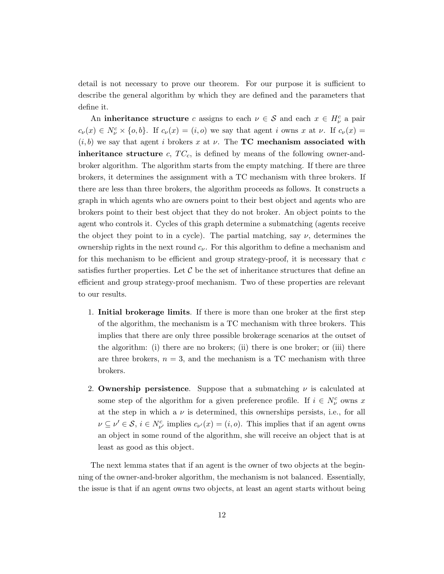detail is not necessary to prove our theorem. For our purpose it is sufficient to describe the general algorithm by which they are defined and the parameters that define it.

An inheritance structure c assigns to each  $\nu \in S$  and each  $x \in H_{\nu}^{c}$  a pair  $c_{\nu}(x) \in N_{\nu}^{c} \times \{o,b\}$ . If  $c_{\nu}(x) = (i,o)$  we say that agent i owns x at  $\nu$ . If  $c_{\nu}(x) =$  $(i, b)$  we say that agent i brokers x at v. The **TC** mechanism associated with **inheritance structure** c,  $TC_c$ , is defined by means of the following owner-andbroker algorithm. The algorithm starts from the empty matching. If there are three brokers, it determines the assignment with a TC mechanism with three brokers. If there are less than three brokers, the algorithm proceeds as follows. It constructs a graph in which agents who are owners point to their best object and agents who are brokers point to their best object that they do not broker. An object points to the agent who controls it. Cycles of this graph determine a submatching (agents receive the object they point to in a cycle). The partial matching, say  $\nu$ , determines the ownership rights in the next round  $c_{\nu}$ . For this algorithm to define a mechanism and for this mechanism to be efficient and group strategy-proof, it is necessary that  $c$ satisfies further properties. Let  $\mathcal C$  be the set of inheritance structures that define an efficient and group strategy-proof mechanism. Two of these properties are relevant to our results.

- 1. Initial brokerage limits. If there is more than one broker at the first step of the algorithm, the mechanism is a TC mechanism with three brokers. This implies that there are only three possible brokerage scenarios at the outset of the algorithm: (i) there are no brokers; (ii) there is one broker; or (iii) there are three brokers,  $n = 3$ , and the mechanism is a TC mechanism with three brokers.
- 2. Ownership persistence. Suppose that a submatching  $\nu$  is calculated at some step of the algorithm for a given preference profile. If  $i \in N_{\nu}^{c}$  owns x at the step in which a  $\nu$  is determined, this ownerships persists, i.e., for all  $\nu \subseteq \nu' \in \mathcal{S}, i \in N_{\nu'}^c$  implies  $c_{\nu'}(x) = (i, o)$ . This implies that if an agent owns an object in some round of the algorithm, she will receive an object that is at least as good as this object.

The next lemma states that if an agent is the owner of two objects at the beginning of the owner-and-broker algorithm, the mechanism is not balanced. Essentially, the issue is that if an agent owns two objects, at least an agent starts without being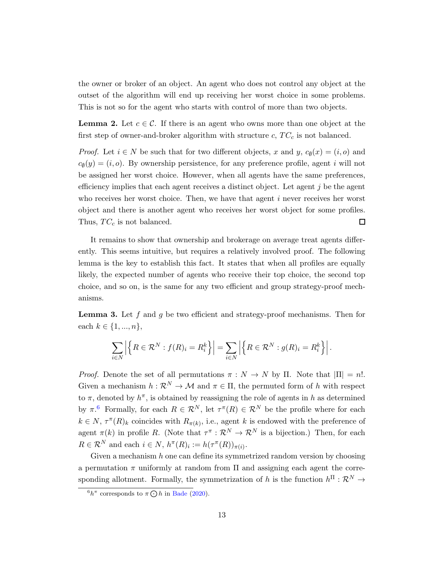the owner or broker of an object. An agent who does not control any object at the outset of the algorithm will end up receiving her worst choice in some problems. This is not so for the agent who starts with control of more than two objects.

<span id="page-12-2"></span>**Lemma 2.** Let  $c \in \mathcal{C}$ . If there is an agent who owns more than one object at the first step of owner-and-broker algorithm with structure  $c, TC_c$  is not balanced.

*Proof.* Let  $i \in N$  be such that for two different objects, x and y,  $c_{\emptyset}(x) = (i, o)$  and  $c_{\emptyset}(y) = (i, o)$ . By ownership persistence, for any preference profile, agent i will not be assigned her worst choice. However, when all agents have the same preferences, efficiency implies that each agent receives a distinct object. Let agent  $j$  be the agent who receives her worst choice. Then, we have that agent  $i$  never receives her worst object and there is another agent who receives her worst object for some profiles. Thus,  $TC_c$  is not balanced.  $\Box$ 

It remains to show that ownership and brokerage on average treat agents differently. This seems intuitive, but requires a relatively involved proof. The following lemma is the key to establish this fact. It states that when all profiles are equally likely, the expected number of agents who receive their top choice, the second top choice, and so on, is the same for any two efficient and group strategy-proof mechanisms.

<span id="page-12-1"></span>**Lemma 3.** Let f and g be two efficient and strategy-proof mechanisms. Then for each  $k \in \{1, ..., n\},\$ 

$$
\sum_{i\in N} \left| \left\{ R \in \mathcal{R}^N : f(R)_i = R_i^k \right\} \right| = \sum_{i\in N} \left| \left\{ R \in \mathcal{R}^N : g(R)_i = R_i^k \right\} \right|.
$$

*Proof.* Denote the set of all permutations  $\pi : N \to N$  by  $\Pi$ . Note that  $|\Pi| = n!$ . Given a mechanism  $h : \mathcal{R}^N \to \mathcal{M}$  and  $\pi \in \Pi$ , the permuted form of h with respect to  $\pi$ , denoted by  $h^{\pi}$ , is obtained by reassigning the role of agents in h as determined by  $\pi$ .<sup>[6](#page-12-0)</sup> Formally, for each  $R \in \mathcal{R}^N$ , let  $\tau^{\pi}(R) \in \mathcal{R}^N$  be the profile where for each  $k \in N$ ,  $\tau^{\pi}(R)$ <sub>k</sub> coincides with  $R_{\pi(k)}$ , i.e., agent k is endowed with the preference of agent  $\pi(k)$  in profile R. (Note that  $\tau^{\pi}: \mathcal{R}^N \to \mathcal{R}^N$  is a bijection.) Then, for each  $R \in \mathcal{R}^N$  and each  $i \in N$ ,  $h^{\pi}(R)_i := h(\tau^{\pi}(R))_{\pi(i)}$ .

Given a mechanism  $h$  one can define its symmetrized random version by choosing a permutation  $\pi$  uniformly at random from  $\Pi$  and assigning each agent the corresponding allotment. Formally, the symmetrization of h is the function  $h^{\Pi} : \mathcal{R}^N \to$ 

<span id="page-12-0"></span> ${}^6h^{\pi}$  corresponds to  $\pi \bigodot h$  in [Bade](#page-18-0) [\(2020](#page-18-0)).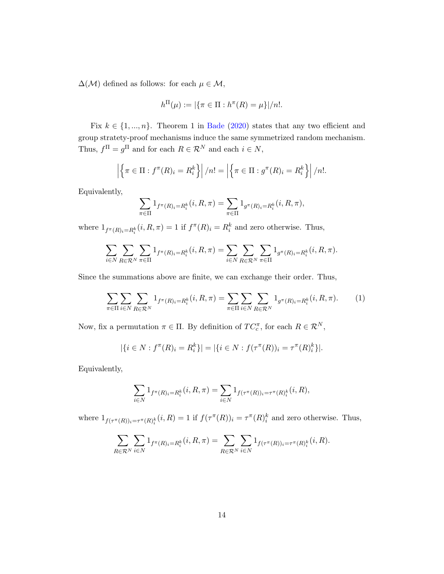$\Delta(\mathcal{M})$  defined as follows: for each  $\mu \in \mathcal{M}$ ,

$$
h^{\Pi}(\mu) := |\{\pi \in \Pi : h^{\pi}(R) = \mu\}|/n!.
$$

Fix  $k \in \{1, ..., n\}$ . Theorem 1 in [Bade](#page-18-0) [\(2020\)](#page-18-0) states that any two efficient and group stratety-proof mechanisms induce the same symmetrized random mechanism. Thus,  $f^{\Pi} = g^{\Pi}$  and for each  $R \in \mathcal{R}^{N}$  and each  $i \in N$ ,

$$
\left| \left\{ \pi \in \Pi : f^{\pi}(R)_i = R_i^k \right\} \right| / n! = \left| \left\{ \pi \in \Pi : g^{\pi}(R)_i = R_i^k \right\} \right| / n!.
$$

Equivalently,

$$
\sum_{\pi \in \Pi} 1_{f^{\pi}(R)_i = R_i^k}(i, R, \pi) = \sum_{\pi \in \Pi} 1_{g^{\pi}(R)_i = R_i^k}(i, R, \pi),
$$

where  $1_{f^{\pi}(R)_{i}=R_{i}^{k}}(i, R, \pi) = 1$  if  $f^{\pi}(R)_{i} = R_{i}^{k}$  and zero otherwise. Thus,

$$
\sum_{i\in N}\sum_{R\in\mathcal{R}^N}\sum_{\pi\in\Pi}1_{f^\pi(R)_i=R_i^k}(i,R,\pi)=\sum_{i\in N}\sum_{R\in\mathcal{R}^N}\sum_{\pi\in\Pi}1_{g^\pi(R)_i=R_i^k}(i,R,\pi).
$$

Since the summations above are finite, we can exchange their order. Thus,

<span id="page-13-0"></span>
$$
\sum_{\pi \in \Pi} \sum_{i \in N} \sum_{R \in \mathcal{R}^N} 1_{f^{\pi}(R)_i = R_i^k} (i, R, \pi) = \sum_{\pi \in \Pi} \sum_{i \in N} \sum_{R \in \mathcal{R}^N} 1_{g^{\pi}(R)_i = R_i^k} (i, R, \pi).
$$
 (1)

Now, fix a permutation  $\pi \in \Pi$ . By definition of  $TC_c^{\pi}$ , for each  $R \in \mathcal{R}^N$ ,

$$
|\{i \in N : f^{\pi}(R)_i = R_i^k\}| = |\{i \in N : f(\tau^{\pi}(R))_i = \tau^{\pi}(R)_i^k\}|.
$$

Equivalently,

$$
\sum_{i \in N} 1_{f^{\pi}(R)_i = R_i^k}(i, R, \pi) = \sum_{i \in N} 1_{f(\tau^{\pi}(R))_i = \tau^{\pi}(R)_i^k}(i, R),
$$

where  $1_{f(\tau^{\pi}(R))_i=\tau^{\pi}(R)_{i}^{k}}(i,R)=1$  if  $f(\tau^{\pi}(R))_i=\tau^{\pi}(R)_{i}^{k}$  and zero otherwise. Thus,

$$
\sum_{R \in \mathcal{R}^N} \sum_{i \in N} 1_{f^{\pi}(R)_i = R_i^k}(i, R, \pi) = \sum_{R \in \mathcal{R}^N} \sum_{i \in N} 1_{f(\tau^{\pi}(R))_i = \tau^{\pi}(R)_i^k}(i, R).
$$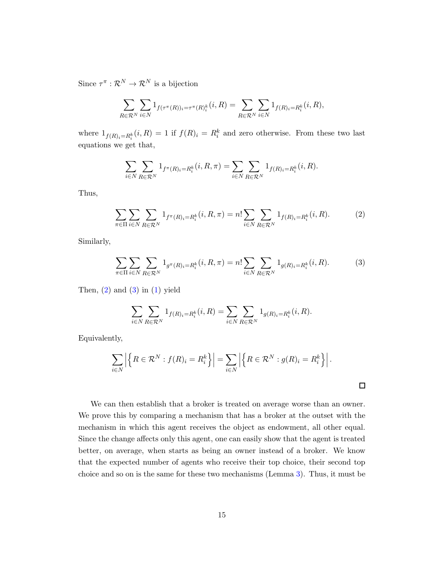Since  $\tau^{\pi}: \mathcal{R}^N \to \mathcal{R}^N$  is a bijection

$$
\sum_{R \in \mathcal{R}^N} \sum_{i \in N} 1_{f(\tau^{\pi}(R))_i = \tau^{\pi}(R)_i^k} (i, R) = \sum_{R \in \mathcal{R}^N} \sum_{i \in N} 1_{f(R)_i = R_i^k} (i, R),
$$

where  $1_{f(R)_i=R_i^k}(i, R) = 1$  if  $f(R)_i = R_i^k$  and zero otherwise. From these two last equations we get that,

$$
\sum_{i \in N} \sum_{R \in \mathcal{R}^N} 1_{f^{\pi}(R)_i = R_i^k}(i, R, \pi) = \sum_{i \in N} \sum_{R \in \mathcal{R}^N} 1_{f(R)_i = R_i^k}(i, R).
$$

Thus,

<span id="page-14-0"></span>
$$
\sum_{\pi \in \Pi} \sum_{i \in N} \sum_{R \in \mathcal{R}^N} 1_{f^{\pi}(R)_i = R_i^k}(i, R, \pi) = n! \sum_{i \in N} \sum_{R \in \mathcal{R}^N} 1_{f(R)_i = R_i^k}(i, R).
$$
 (2)

Similarly,

<span id="page-14-1"></span>
$$
\sum_{\pi \in \Pi} \sum_{i \in N} \sum_{R \in \mathcal{R}^N} 1_{g^{\pi}(R)_i = R_i^k} (i, R, \pi) = n! \sum_{i \in N} \sum_{R \in \mathcal{R}^N} 1_{g(R)_i = R_i^k} (i, R).
$$
 (3)

Then,  $(2)$  and  $(3)$  in  $(1)$  yield

$$
\sum_{i \in N} \sum_{R \in \mathcal{R}^N} 1_{f(R)_i = R_i^k}(i, R) = \sum_{i \in N} \sum_{R \in \mathcal{R}^N} 1_{g(R)_i = R_i^k}(i, R).
$$

Equivalently,

$$
\sum_{i\in N} \left| \left\{ R \in \mathcal{R}^N : f(R)_i = R_i^k \right\} \right| = \sum_{i\in N} \left| \left\{ R \in \mathcal{R}^N : g(R)_i = R_i^k \right\} \right|.
$$

 $\Box$ 

We can then establish that a broker is treated on average worse than an owner. We prove this by comparing a mechanism that has a broker at the outset with the mechanism in which this agent receives the object as endowment, all other equal. Since the change affects only this agent, one can easily show that the agent is treated better, on average, when starts as being an owner instead of a broker. We know that the expected number of agents who receive their top choice, their second top choice and so on is the same for these two mechanisms (Lemma [3\)](#page-12-1). Thus, it must be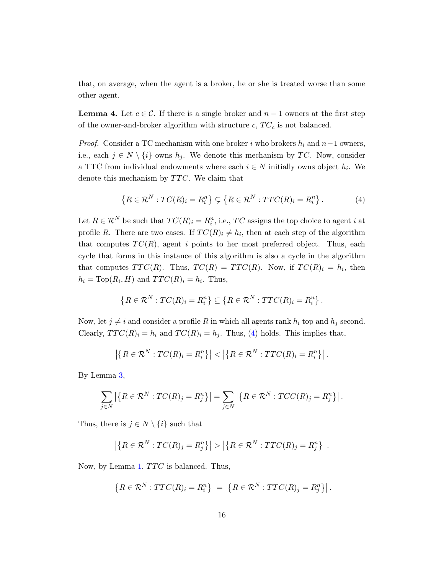that, on average, when the agent is a broker, he or she is treated worse than some other agent.

<span id="page-15-1"></span>**Lemma 4.** Let  $c \in \mathcal{C}$ . If there is a single broker and  $n-1$  owners at the first step of the owner-and-broker algorithm with structure  $c, T C_c$  is not balanced.

*Proof.* Consider a TC mechanism with one broker i who brokers  $h_i$  and  $n-1$  owners, i.e., each  $j \in N \setminus \{i\}$  owns  $h_j$ . We denote this mechanism by TC. Now, consider a TTC from individual endowments where each  $i \in N$  initially owns object  $h_i$ . We denote this mechanism by  $TTC$ . We claim that

<span id="page-15-0"></span>
$$
\{R \in \mathcal{R}^N : TC(R)_i = R_i^n\} \subsetneq \{R \in \mathcal{R}^N : TTC(R)_i = R_i^n\}.
$$
 (4)

Let  $R \in \mathcal{R}^N$  be such that  $TC(R)_i = R_i^n$ , i.e.,  $TC$  assigns the top choice to agent i at profile R. There are two cases. If  $TC(R)_i \neq h_i$ , then at each step of the algorithm that computes  $TC(R)$ , agent i points to her most preferred object. Thus, each cycle that forms in this instance of this algorithm is also a cycle in the algorithm that computes  $TTC(R)$ . Thus,  $TC(R) = TTC(R)$ . Now, if  $TC(R)_i = h_i$ , then  $h_i = \text{Top}(R_i, H)$  and  $TTC(R)_i = h_i$ . Thus,

$$
\left\{R \in \mathcal{R}^N : TC(R)_i = R_i^n\right\} \subseteq \left\{R \in \mathcal{R}^N : TTC(R)_i = R_i^n\right\}.
$$

Now, let  $j \neq i$  and consider a profile R in which all agents rank  $h_i$  top and  $h_j$  second. Clearly,  $TTC(R)<sub>i</sub> = h<sub>i</sub>$  and  $TC(R)<sub>i</sub> = h<sub>j</sub>$ . Thus, [\(4\)](#page-15-0) holds. This implies that,

$$
\left| \left\{ R \in \mathcal{R}^N : TC(R)_i = R_i^n \right\} \right| < \left| \left\{ R \in \mathcal{R}^N : TTC(R)_i = R_i^n \right\} \right|.
$$

By Lemma [3,](#page-12-1)

$$
\sum_{j\in N} \left| \left\{ R \in \mathcal{R}^N : TC(R)_j = R_j^n \right\} \right| = \sum_{j\in N} \left| \left\{ R \in \mathcal{R}^N : TCC(R)_j = R_j^n \right\} \right|.
$$

Thus, there is  $j \in N \setminus \{i\}$  such that

$$
\left| \left\{ R \in \mathcal{R}^N : TC(R)_j = R_j^n \right\} \right| > \left| \left\{ R \in \mathcal{R}^N : TTC(R)_j = R_j^n \right\} \right|.
$$

Now, by Lemma [1,](#page-7-1)  $TTC$  is balanced. Thus,

$$
\left| \left\{ R \in \mathcal{R}^N : TTC(R)_i = R_i^n \right\} \right| = \left| \left\{ R \in \mathcal{R}^N : TTC(R)_j = R_j^n \right\} \right|.
$$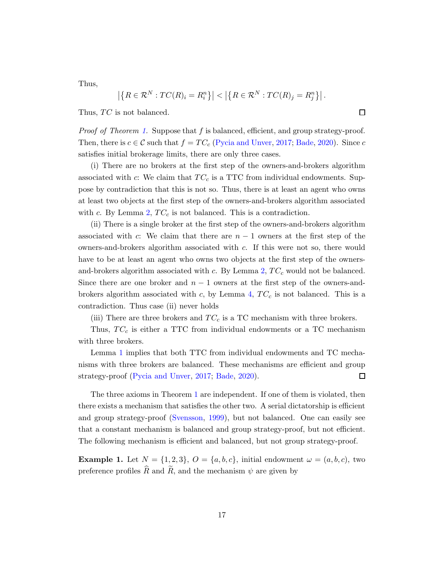Thus,

$$
\left| \left\{ R \in \mathcal{R}^N : TC(R)_i = R_i^n \right\} \right| < \left| \left\{ R \in \mathcal{R}^N : TC(R)_j = R_j^n \right\} \right|.
$$

Thus,  $TC$  is not balanced.

Proof of Theorem [1.](#page-7-0) Suppose that f is balanced, efficient, and group strategy-proof. Then, there is  $c \in \mathcal{C}$  such that  $f = TC_c$  [\(Pycia and Unver](#page-19-4), [2017](#page-19-4); [Bade](#page-18-0), [2020\)](#page-18-0). Since c satisfies initial brokerage limits, there are only three cases.

(i) There are no brokers at the first step of the owners-and-brokers algorithm associated with c: We claim that  $TC_c$  is a TTC from individual endowments. Suppose by contradiction that this is not so. Thus, there is at least an agent who owns at least two objects at the first step of the owners-and-brokers algorithm associated with c. By Lemma [2,](#page-12-2)  $TC_c$  is not balanced. This is a contradiction.

(ii) There is a single broker at the first step of the owners-and-brokers algorithm associated with c: We claim that there are  $n-1$  owners at the first step of the owners-and-brokers algorithm associated with c. If this were not so, there would have to be at least an agent who owns two objects at the first step of the ownersand-brokers algorithm associated with c. By Lemma  $2, TC_c$  $2, TC_c$  would not be balanced. Since there are one broker and  $n-1$  owners at the first step of the owners-and-brokers algorithm associated with c, by Lemma [4,](#page-15-1)  $TC_c$  is not balanced. This is a contradiction. Thus case (ii) never holds

(iii) There are three brokers and  $TC_c$  is a TC mechanism with three brokers.

Thus,  $TC_c$  is either a TTC from individual endowments or a TC mechanism with three brokers.

Lemma [1](#page-7-1) implies that both TTC from individual endowments and TC mechanisms with three brokers are balanced. These mechanisms are efficient and group strategy-proof [\(Pycia and Unver,](#page-19-4) [2017](#page-19-4); [Bade,](#page-18-0) [2020](#page-18-0)).  $\Box$ 

The three axioms in Theorem [1](#page-7-0) are independent. If one of them is violated, then there exists a mechanism that satisfies the other two. A serial dictatorship is efficient and group strategy-proof [\(Svensson](#page-19-5), [1999](#page-19-5)), but not balanced. One can easily see that a constant mechanism is balanced and group strategy-proof, but not efficient. The following mechanism is efficient and balanced, but not group strategy-proof.

**Example 1.** Let  $N = \{1, 2, 3\}$ ,  $O = \{a, b, c\}$ , initial endowment  $\omega = (a, b, c)$ , two preference profiles  $\widehat{R}$  and  $\widetilde{R}$ , and the mechanism  $\psi$  are given by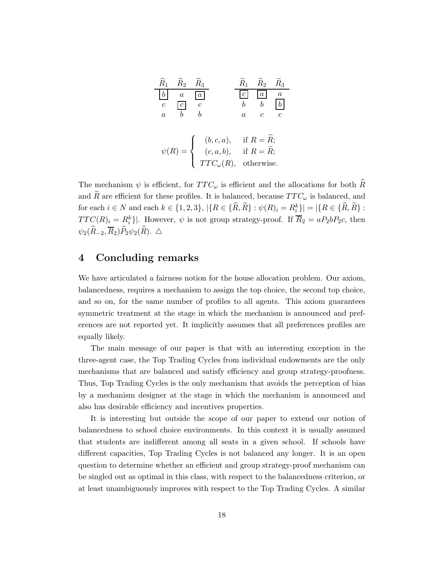| $\widehat R_1$ | $\widehat R_2$ | $\widehat{R}_3$              | $\widetilde{R}_1$ | $\widetilde{R}_2$       | $\widetilde{R}_3$ |
|----------------|----------------|------------------------------|-------------------|-------------------------|-------------------|
|                | $\alpha$       | $\overline{a}$               |                   | $\overline{a}$          | $\overline{a}$    |
| $\mathcal{C}$  | $\mathcal{C}$  | $\mathfrak c$                |                   |                         |                   |
| $\alpha$       |                | h                            | $\it a$           | C                       | Ċ                 |
|                |                |                              |                   |                         |                   |
|                |                |                              |                   | if $R = \overline{R}$ ; |                   |
| $\psi(R)$      | $=$ $\langle$  | $(b, c, a),$<br>$(c, a, b),$ |                   | if $R = R$ ;            |                   |
|                |                | $TTC_{\omega}(R),$           |                   | otherwise.              |                   |

The mechanism  $\psi$  is efficient, for  $TTC_{\omega}$  is efficient and the allocations for both R and R are efficient for these profiles. It is balanced, because  $TTC_{\omega}$  is balanced, and for each  $i \in N$  and each  $k \in \{1, 2, 3\}$ ,  $|\{R \in \{\hat{R}, \tilde{R}\} : \psi(R)_i = R_i^k\}| = |\{R \in \{\hat{R}, \tilde{R}\} :$  $TTC(R)_i = R_i^k$ ]. However,  $\psi$  is not group strategy-proof. If  $\overline{R}_2 = aP_2bP_2c$ , then  $\psi_2(\widehat{R}_{-2}, \overline{R}_2)\widehat{P}_2\psi_2(\widehat{R})$ . △

# <span id="page-17-0"></span>4 Concluding remarks

We have articulated a fairness notion for the house allocation problem. Our axiom, balancedness, requires a mechanism to assign the top choice, the second top choice, and so on, for the same number of profiles to all agents. This axiom guarantees symmetric treatment at the stage in which the mechanism is announced and preferences are not reported yet. It implicitly assumes that all preferences profiles are equally likely.

The main message of our paper is that with an interesting exception in the three-agent case, the Top Trading Cycles from individual endowments are the only mechanisms that are balanced and satisfy efficiency and group strategy-proofness. Thus, Top Trading Cycles is the only mechanism that avoids the perception of bias by a mechanism designer at the stage in which the mechanism is announced and also has desirable efficiency and incentives properties.

It is interesting but outside the scope of our paper to extend our notion of balancedness to school choice environments. In this context it is usually assumed that students are indifferent among all seats in a given school. If schools have different capacities, Top Trading Cycles is not balanced any longer. It is an open question to determine whether an efficient and group strategy-proof mechanism can be singled out as optimal in this class, with respect to the balancedness criterion, or at least unambiguously improves with respect to the Top Trading Cycles. A similar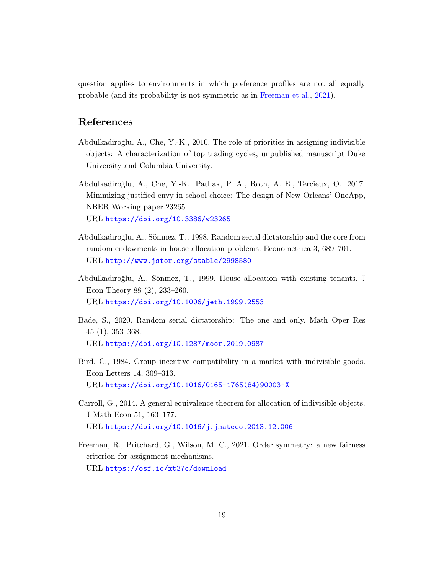question applies to environments in which preference profiles are not all equally probable (and its probability is not symmetric as in [Freeman et al.](#page-18-6), [2021\)](#page-18-6).

# References

- <span id="page-18-2"></span>Abdulkadiroğlu, A., Che, Y.-K., 2010. The role of priorities in assigning indivisible objects: A characterization of top trading cycles, unpublished manuscript Duke University and Columbia University.
- <span id="page-18-3"></span>Abdulkadiro˘glu, A., Che, Y.-K., Pathak, P. A., Roth, A. E., Tercieux, O., 2017. Minimizing justified envy in school choice: The design of New Orleans' OneApp, NBER Working paper 23265. URL <https://doi.org/10.3386/w23265>
- <span id="page-18-4"></span>Abdulkadiroğlu, A., Sönmez, T., 1998. Random serial dictatorship and the core from random endowments in house allocation problems. Econometrica 3, 689–701. URL <http://www.jstor.org/stable/2998580>
- <span id="page-18-1"></span>Abdulkadiroğlu, A., Sönmez, T., 1999. House allocation with existing tenants. J Econ Theory 88 (2), 233–260. URL <https://doi.org/10.1006/jeth.1999.2553>
- <span id="page-18-0"></span>Bade, S., 2020. Random serial dictatorship: The one and only. Math Oper Res 45 (1), 353–368. URL <https://doi.org/10.1287/moor.2019.0987>
- <span id="page-18-7"></span>Bird, C., 1984. Group incentive compatibility in a market with indivisible goods. Econ Letters 14, 309–313. URL [https://doi.org/10.1016/0165-1765\(84\)90003-X](https://doi.org/10.1016/0165-1765(84)90003-X)
- <span id="page-18-5"></span>Carroll, G., 2014. A general equivalence theorem for allocation of indivisible objects. J Math Econ 51, 163–177. URL <https://doi.org/10.1016/j.jmateco.2013.12.006>
- <span id="page-18-6"></span>Freeman, R., Pritchard, G., Wilson, M. C., 2021. Order symmetry: a new fairness criterion for assignment mechanisms. URL <https://osf.io/xt37c/download>